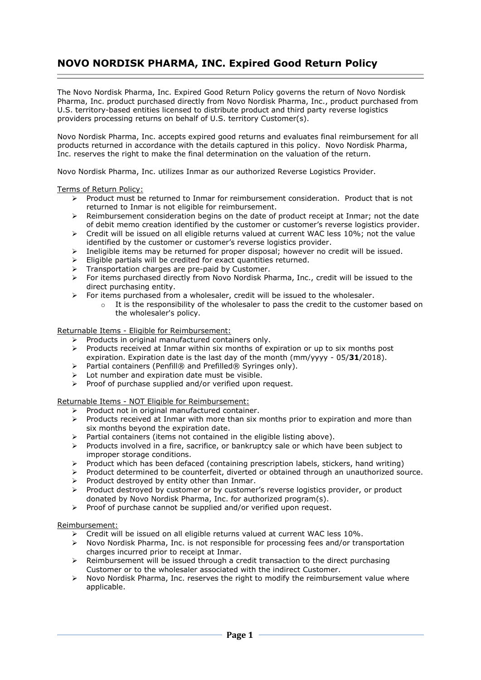# **NOVO NORDISK PHARMA, INC. Expired Good Return Policy**

The Novo Nordisk Pharma, Inc. Expired Good Return Policy governs the return of Novo Nordisk Pharma, Inc. product purchased directly from Novo Nordisk Pharma, Inc., product purchased from U.S. territory-based entities licensed to distribute product and third party reverse logistics providers processing returns on behalf of U.S. territory Customer(s).

Novo Nordisk Pharma, Inc. accepts expired good returns and evaluates final reimbursement for all products returned in accordance with the details captured in this policy. Novo Nordisk Pharma, Inc. reserves the right to make the final determination on the valuation of the return.

Novo Nordisk Pharma, Inc. utilizes Inmar as our authorized Reverse Logistics Provider.

# Terms of Return Policy:

- ➢ Product must be returned to Inmar for reimbursement consideration. Product that is not returned to Inmar is not eligible for reimbursement.
- ➢ Reimbursement consideration begins on the date of product receipt at Inmar; not the date of debit memo creation identified by the customer or customer's reverse logistics provider.
- ➢ Credit will be issued on all eligible returns valued at current WAC less 10%; not the value identified by the customer or customer's reverse logistics provider.
- ➢ Ineligible items may be returned for proper disposal; however no credit will be issued.
- $\triangleright$  Eligible partials will be credited for exact quantities returned.
- ➢ Transportation charges are pre-paid by Customer.
- ➢ For items purchased directly from Novo Nordisk Pharma, Inc., credit will be issued to the direct purchasing entity.
- $\triangleright$  For items purchased from a wholesaler, credit will be issued to the wholesaler.
	- $\circ$  It is the responsibility of the wholesaler to pass the credit to the customer based on the wholesaler's policy.

Returnable Items - Eligible for Reimbursement:

- ➢ Products in original manufactured containers only.
- ➢ Products received at Inmar within six months of expiration or up to six months post expiration. Expiration date is the last day of the month (mm/yyyy - 05/**31**/2018).
- expliquibil Lapiration actors is the rest of property.<br>► Partial containers (Penfill® and Prefilled® Syringes only).
- ➢ Lot number and expiration date must be visible.
- ➢ Proof of purchase supplied and/or verified upon request.

Returnable Items - NOT Eligible for Reimbursement:

- ➢ Product not in original manufactured container.
- $\triangleright$  Products received at Inmar with more than six months prior to expiration and more than six months beyond the expiration date.
- ➢ Partial containers (items not contained in the eligible listing above).
- ➢ Products involved in a fire, sacrifice, or bankruptcy sale or which have been subject to improper storage conditions.
- ➢ Product which has been defaced (containing prescription labels, stickers, hand writing)
- ➢ Product determined to be counterfeit, diverted or obtained through an unauthorized source. ➢ Product destroyed by entity other than Inmar.
- 
- ➢ Product destroyed by customer or by customer's reverse logistics provider, or product donated by Novo Nordisk Pharma, Inc. for authorized program(s).
- ➢ Proof of purchase cannot be supplied and/or verified upon request.

# Reimbursement:

- $\triangleright$  Credit will be issued on all eligible returns valued at current WAC less 10%.
- ➢ Novo Nordisk Pharma, Inc. is not responsible for processing fees and/or transportation charges incurred prior to receipt at Inmar.
- $\geq$  Reimbursement will be issued through a credit transaction to the direct purchasing Customer or to the wholesaler associated with the indirect Customer.
- $\triangleright$  Novo Nordisk Pharma, Inc. reserves the right to modify the reimbursement value where applicable.